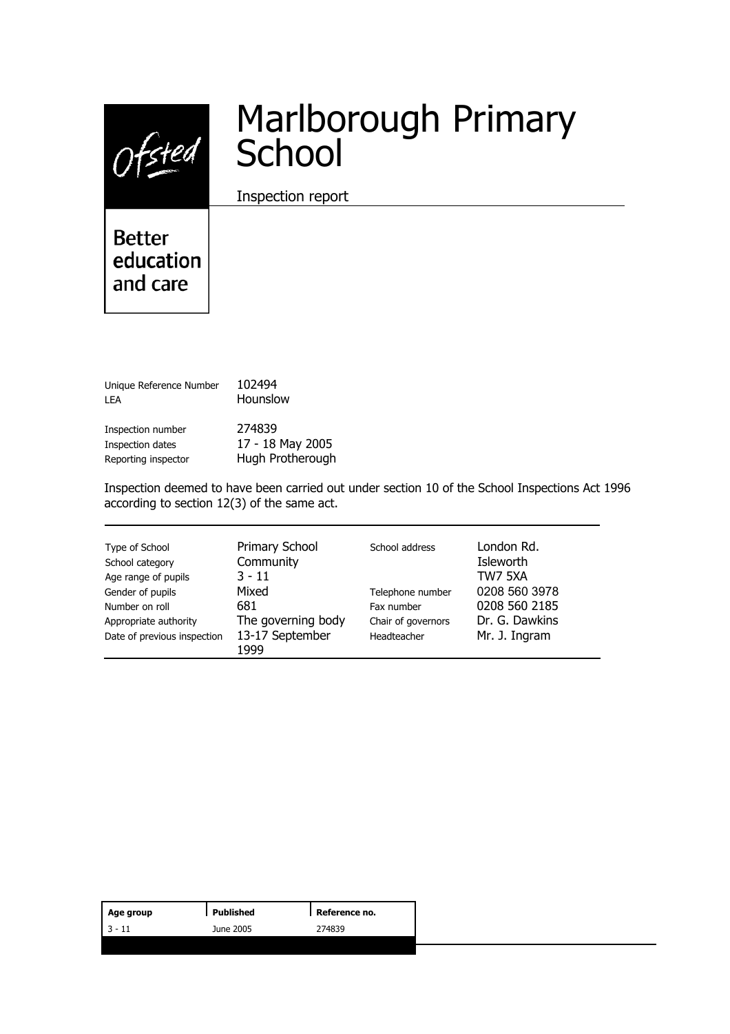Ofsted

# Marlborough Primary School

Inspection report

**Better** education and care

Unique Reference Number 102494 LEA **Hounslow** Inspection number 274839

Inspection dates 17 - 18 May 2005 Reporting inspector **Hugh Protherough** 

Inspection deemed to have been carried out under section 10 of the School Inspections Act 1996 according to section 12(3) of the same act.

| Type of School                                       | Primary School                                | School address                    | London Rd.                      |
|------------------------------------------------------|-----------------------------------------------|-----------------------------------|---------------------------------|
| School category                                      | Community                                     |                                   | Isleworth                       |
| Age range of pupils                                  | $3 - 11$                                      |                                   | TW7 5XA                         |
| Gender of pupils                                     | Mixed                                         | Telephone number                  | 0208 560 3978                   |
| Number on roll                                       | 681                                           | Fax number                        | 0208 560 2185                   |
| Appropriate authority<br>Date of previous inspection | The governing body<br>13-17 September<br>1999 | Chair of governors<br>Headteacher | Dr. G. Dawkins<br>Mr. J. Ingram |

| Age group | Published | Reference no. |
|-----------|-----------|---------------|
| $13 - 11$ | June 2005 | 274839        |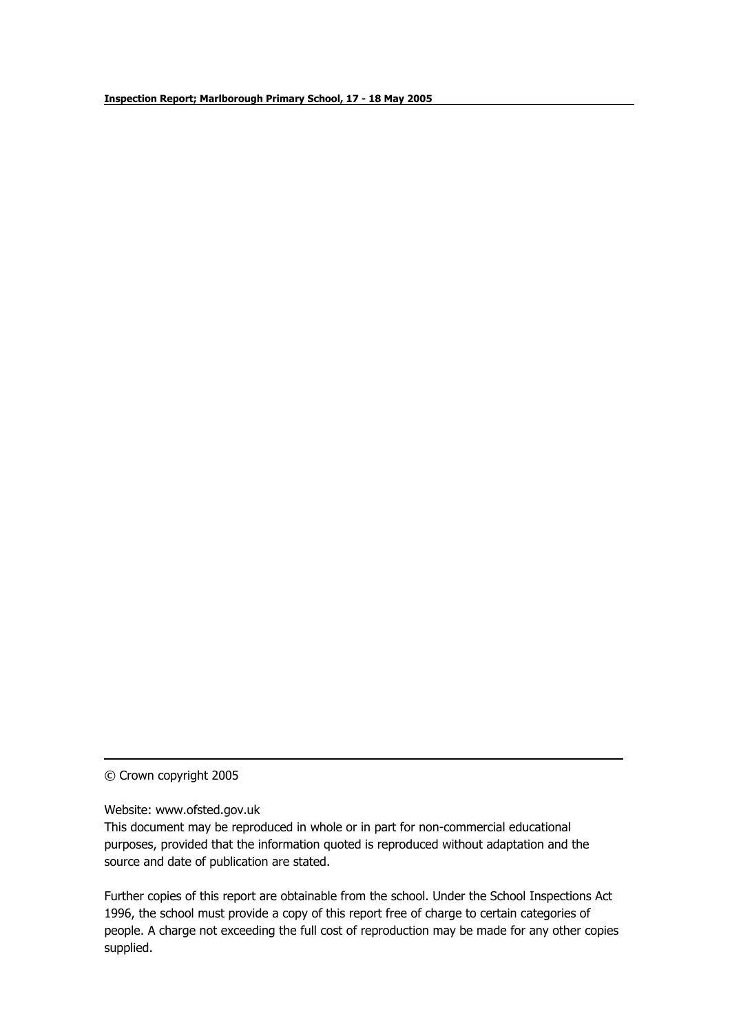© Crown copyright 2005

Website: www.ofsted.gov.uk

This document may be reproduced in whole or in part for non-commercial educational purposes, provided that the information quoted is reproduced without adaptation and the source and date of publication are stated.

Further copies of this report are obtainable from the school. Under the School Inspections Act 1996, the school must provide a copy of this report free of charge to certain categories of people. A charge not exceeding the full cost of reproduction may be made for any other copies supplied.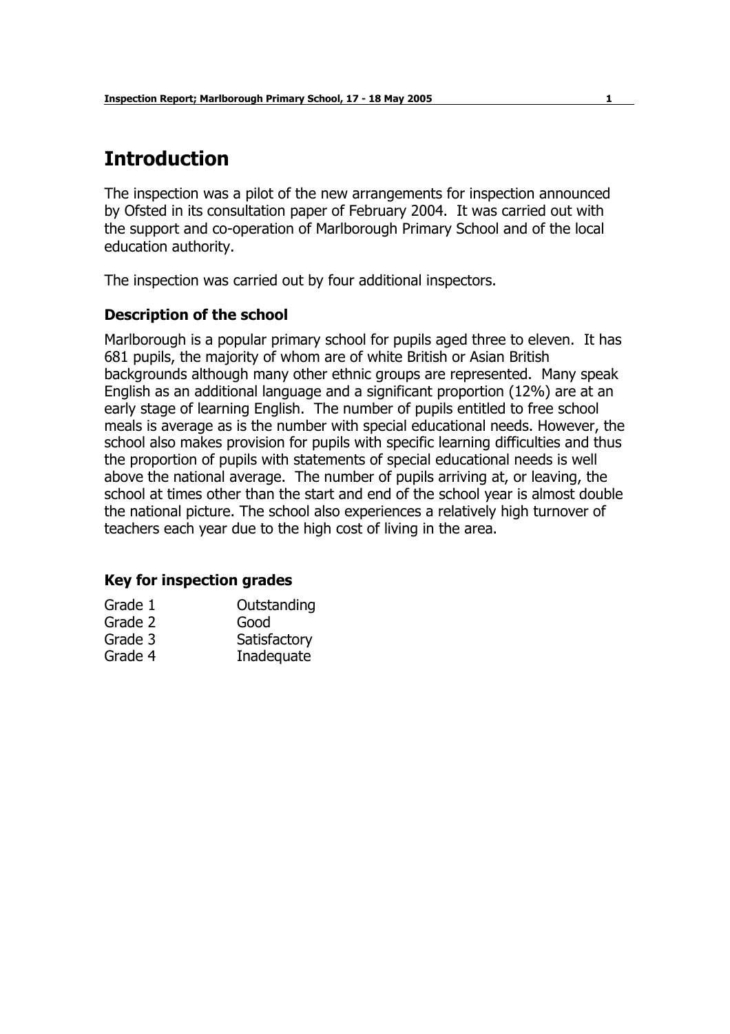# **Introduction**

The inspection was a pilot of the new arrangements for inspection announced by Ofsted in its consultation paper of February 2004. It was carried out with the support and co-operation of Marlborough Primary School and of the local education authority.

The inspection was carried out by four additional inspectors.

# **Description of the school**

Marlborough is a popular primary school for pupils aged three to eleven. It has 681 pupils, the majority of whom are of white British or Asian British backgrounds although many other ethnic groups are represented. Many speak English as an additional language and a significant proportion (12%) are at an early stage of learning English. The number of pupils entitled to free school meals is average as is the number with special educational needs. However, the school also makes provision for pupils with specific learning difficulties and thus the proportion of pupils with statements of special educational needs is well above the national average. The number of pupils arriving at, or leaving, the school at times other than the start and end of the school year is almost double the national picture. The school also experiences a relatively high turnover of teachers each year due to the high cost of living in the area.

# **Key for inspection grades**

| Grade 1 | Outstanding  |
|---------|--------------|
| Grade 2 | Good         |
| Grade 3 | Satisfactory |
| Grade 4 | Inadequate   |
|         |              |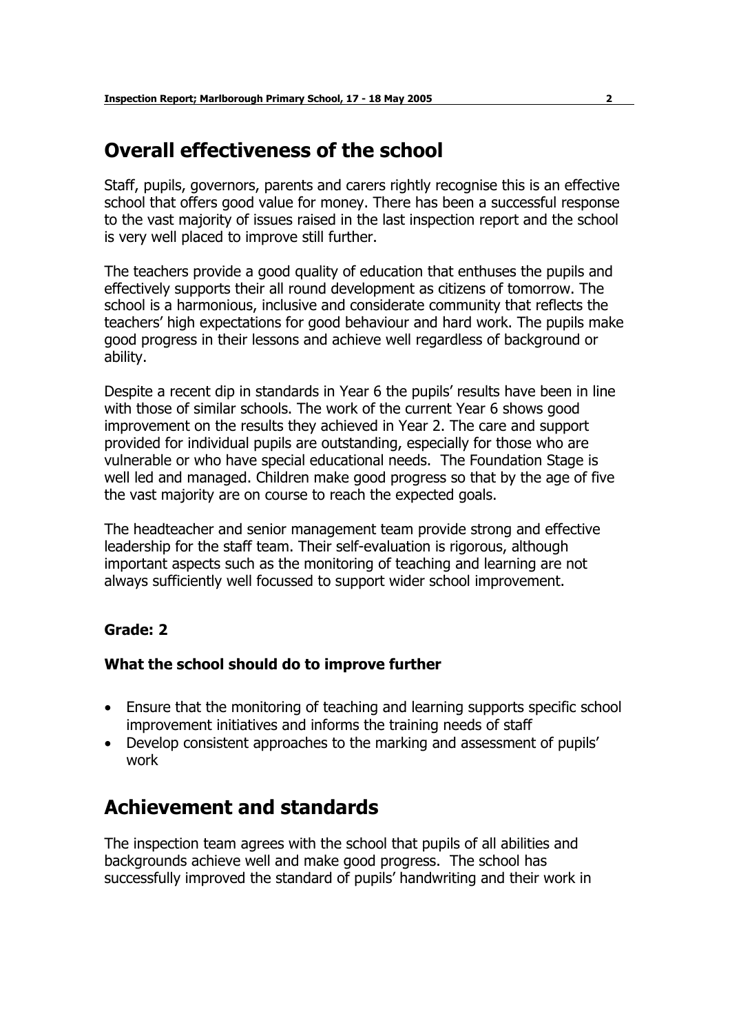# **Overall effectiveness of the school**

Staff, pupils, governors, parents and carers rightly recognise this is an effective school that offers good value for money. There has been a successful response to the vast majority of issues raised in the last inspection report and the school is very well placed to improve still further.

The teachers provide a good quality of education that enthuses the pupils and effectively supports their all round development as citizens of tomorrow. The school is a harmonious, inclusive and considerate community that reflects the teachersí high expectations for good behaviour and hard work. The pupils make good progress in their lessons and achieve well regardless of background or ability.

Despite a recent dip in standards in Year 6 the pupils' results have been in line with those of similar schools. The work of the current Year 6 shows good improvement on the results they achieved in Year 2. The care and support provided for individual pupils are outstanding, especially for those who are vulnerable or who have special educational needs. The Foundation Stage is well led and managed. Children make good progress so that by the age of five the vast majority are on course to reach the expected goals.

The headteacher and senior management team provide strong and effective leadership for the staff team. Their self-evaluation is rigorous, although important aspects such as the monitoring of teaching and learning are not always sufficiently well focussed to support wider school improvement.

# **Grade: 2**

### **What the school should do to improve further**

- Ensure that the monitoring of teaching and learning supports specific school improvement initiatives and informs the training needs of staff
- Develop consistent approaches to the marking and assessment of pupils' work

# **Achievement and standards**

The inspection team agrees with the school that pupils of all abilities and backgrounds achieve well and make good progress. The school has successfully improved the standard of pupils' handwriting and their work in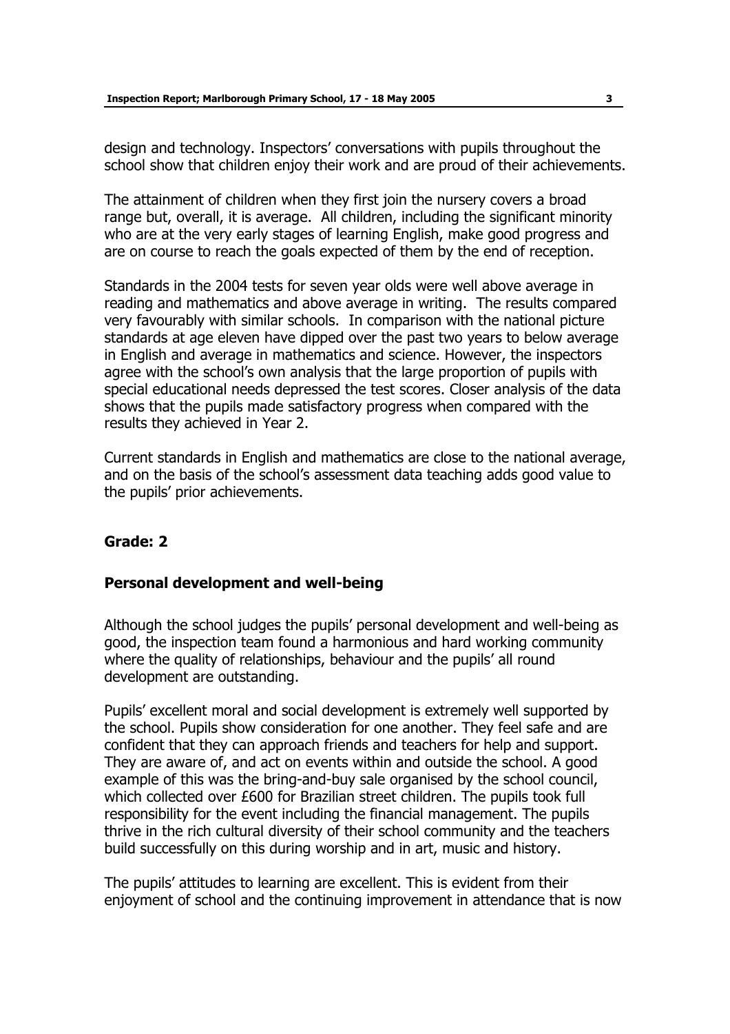design and technology. Inspectors' conversations with pupils throughout the school show that children enjoy their work and are proud of their achievements.

The attainment of children when they first join the nursery covers a broad range but, overall, it is average. All children, including the significant minority who are at the very early stages of learning English, make good progress and are on course to reach the goals expected of them by the end of reception.

Standards in the 2004 tests for seven year olds were well above average in reading and mathematics and above average in writing. The results compared very favourably with similar schools. In comparison with the national picture standards at age eleven have dipped over the past two years to below average in English and average in mathematics and science. However, the inspectors agree with the school's own analysis that the large proportion of pupils with special educational needs depressed the test scores. Closer analysis of the data shows that the pupils made satisfactory progress when compared with the results they achieved in Year 2.

Current standards in English and mathematics are close to the national average, and on the basis of the school's assessment data teaching adds good value to the pupils' prior achievements.

# **Grade: 2**

# **Personal development and well-being**

Although the school judges the pupils' personal development and well-being as good, the inspection team found a harmonious and hard working community where the quality of relationships, behaviour and the pupils' all round development are outstanding.

Pupils' excellent moral and social development is extremely well supported by the school. Pupils show consideration for one another. They feel safe and are confident that they can approach friends and teachers for help and support. They are aware of, and act on events within and outside the school. A good example of this was the bring-and-buy sale organised by the school council, which collected over £600 for Brazilian street children. The pupils took full responsibility for the event including the financial management. The pupils thrive in the rich cultural diversity of their school community and the teachers build successfully on this during worship and in art, music and history.

The pupils' attitudes to learning are excellent. This is evident from their enjoyment of school and the continuing improvement in attendance that is now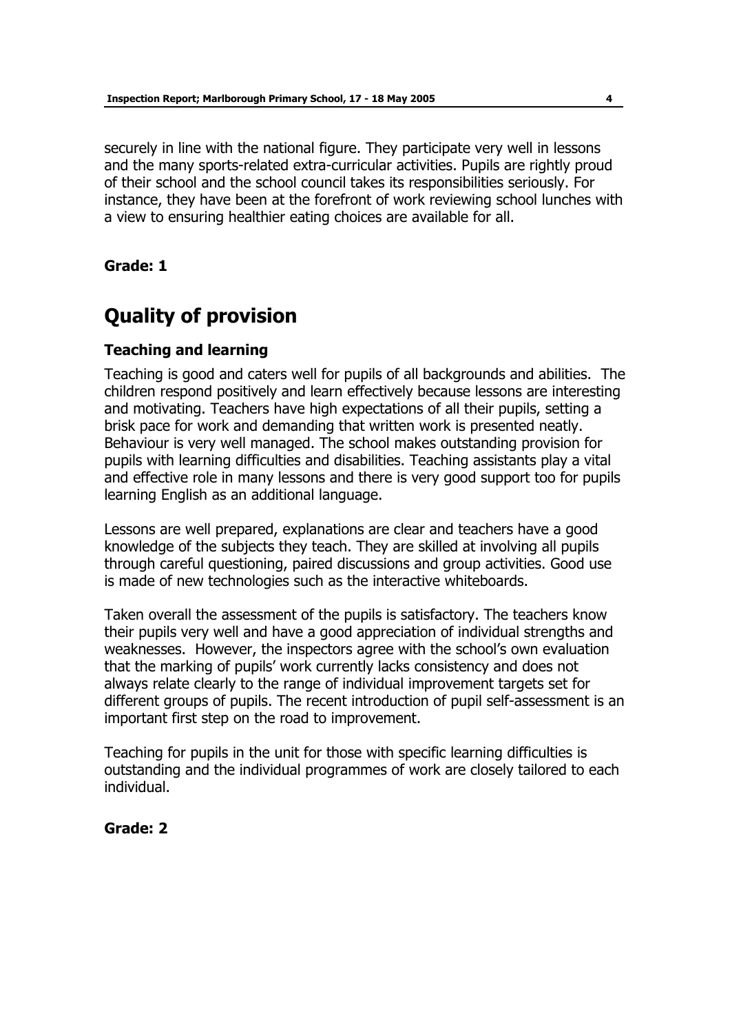securely in line with the national figure. They participate very well in lessons and the many sports-related extra-curricular activities. Pupils are rightly proud of their school and the school council takes its responsibilities seriously. For instance, they have been at the forefront of work reviewing school lunches with a view to ensuring healthier eating choices are available for all.

**Grade: 1** 

# **Quality of provision**

# **Teaching and learning**

Teaching is good and caters well for pupils of all backgrounds and abilities. The children respond positively and learn effectively because lessons are interesting and motivating. Teachers have high expectations of all their pupils, setting a brisk pace for work and demanding that written work is presented neatly. Behaviour is very well managed. The school makes outstanding provision for pupils with learning difficulties and disabilities. Teaching assistants play a vital and effective role in many lessons and there is very good support too for pupils learning English as an additional language.

Lessons are well prepared, explanations are clear and teachers have a good knowledge of the subjects they teach. They are skilled at involving all pupils through careful questioning, paired discussions and group activities. Good use is made of new technologies such as the interactive whiteboards.

Taken overall the assessment of the pupils is satisfactory. The teachers know their pupils very well and have a good appreciation of individual strengths and weaknesses. However, the inspectors agree with the school's own evaluation that the marking of pupilsí work currently lacks consistency and does not always relate clearly to the range of individual improvement targets set for different groups of pupils. The recent introduction of pupil self-assessment is an important first step on the road to improvement.

Teaching for pupils in the unit for those with specific learning difficulties is outstanding and the individual programmes of work are closely tailored to each individual.

### **Grade: 2**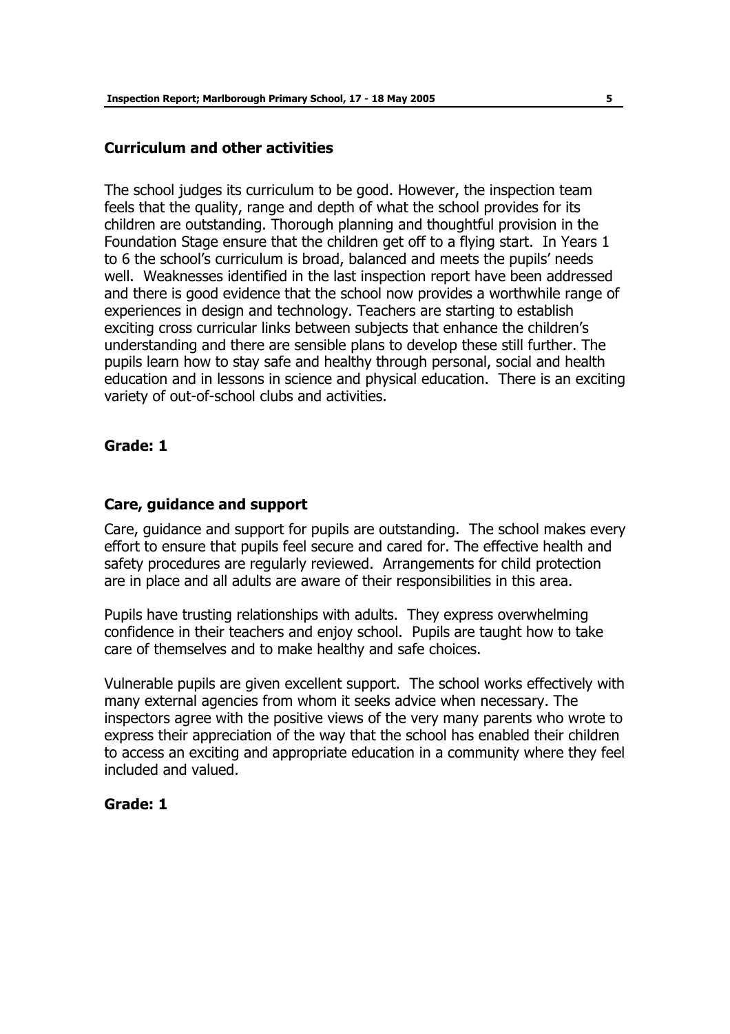#### **Curriculum and other activities**

The school judges its curriculum to be good. However, the inspection team feels that the quality, range and depth of what the school provides for its children are outstanding. Thorough planning and thoughtful provision in the Foundation Stage ensure that the children get off to a flying start. In Years 1 to 6 the school's curriculum is broad, balanced and meets the pupils' needs well. Weaknesses identified in the last inspection report have been addressed and there is good evidence that the school now provides a worthwhile range of experiences in design and technology. Teachers are starting to establish exciting cross curricular links between subjects that enhance the children's understanding and there are sensible plans to develop these still further. The pupils learn how to stay safe and healthy through personal, social and health education and in lessons in science and physical education. There is an exciting variety of out-of-school clubs and activities.

#### **Grade: 1**

### **Care, guidance and support**

Care, guidance and support for pupils are outstanding. The school makes every effort to ensure that pupils feel secure and cared for. The effective health and safety procedures are regularly reviewed. Arrangements for child protection are in place and all adults are aware of their responsibilities in this area.

Pupils have trusting relationships with adults. They express overwhelming confidence in their teachers and enjoy school. Pupils are taught how to take care of themselves and to make healthy and safe choices.

Vulnerable pupils are given excellent support. The school works effectively with many external agencies from whom it seeks advice when necessary. The inspectors agree with the positive views of the very many parents who wrote to express their appreciation of the way that the school has enabled their children to access an exciting and appropriate education in a community where they feel included and valued.

#### **Grade: 1**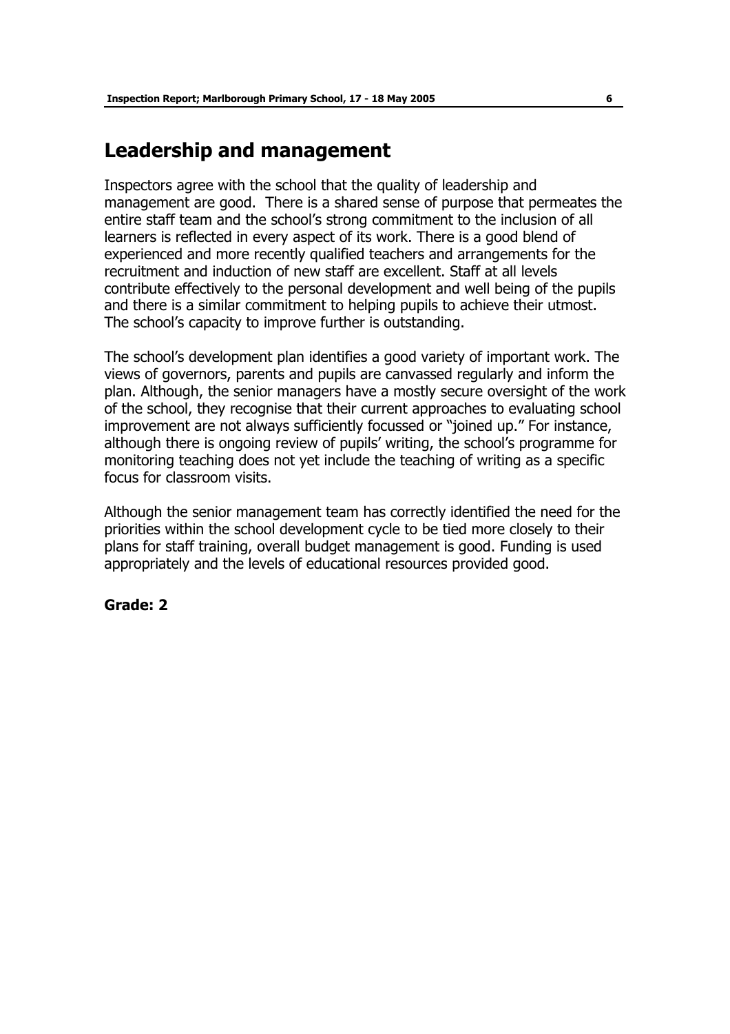# **Leadership and management**

Inspectors agree with the school that the quality of leadership and management are good. There is a shared sense of purpose that permeates the entire staff team and the school's strong commitment to the inclusion of all learners is reflected in every aspect of its work. There is a good blend of experienced and more recently qualified teachers and arrangements for the recruitment and induction of new staff are excellent. Staff at all levels contribute effectively to the personal development and well being of the pupils and there is a similar commitment to helping pupils to achieve their utmost. The school's capacity to improve further is outstanding.

The schoolís development plan identifies a good variety of important work. The views of governors, parents and pupils are canvassed regularly and inform the plan. Although, the senior managers have a mostly secure oversight of the work of the school, they recognise that their current approaches to evaluating school improvement are not always sufficiently focussed or "joined up." For instance, although there is ongoing review of pupils' writing, the school's programme for monitoring teaching does not yet include the teaching of writing as a specific focus for classroom visits.

Although the senior management team has correctly identified the need for the priorities within the school development cycle to be tied more closely to their plans for staff training, overall budget management is good. Funding is used appropriately and the levels of educational resources provided good.

### **Grade: 2**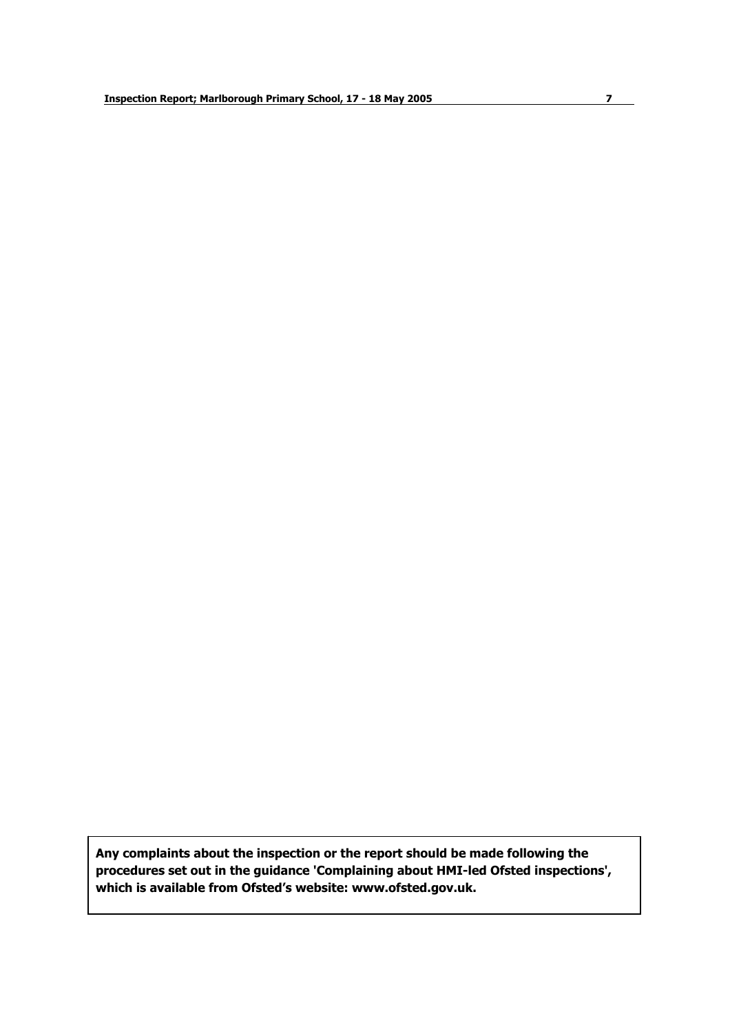**Any complaints about the inspection or the report should be made following the procedures set out in the guidance 'Complaining about HMI-led Ofsted inspections', which is available from Ofstedís website: www.ofsted.gov.uk.**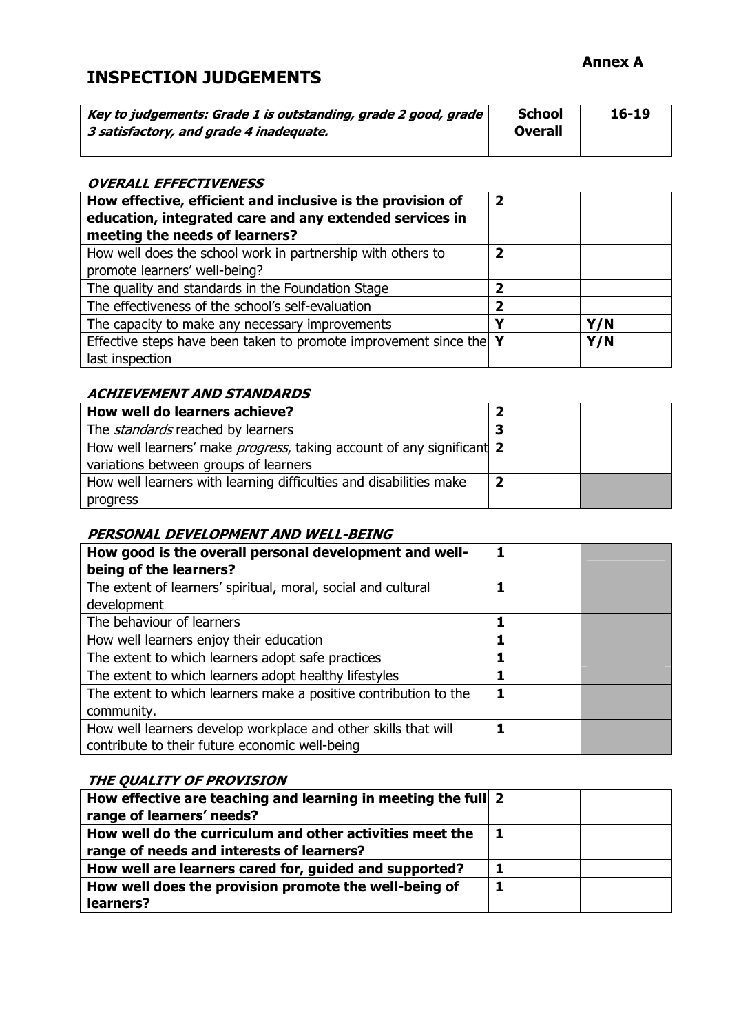# **Annex A**

# **INSPECTION JUDGEMENTS**

| Key to judgements: Grade 1 is outstanding, grade 2 good, grade<br>3 satisfactory, and grade 4 inadequate. | <b>School</b><br><b>Overall</b> | $16 - 19$ |
|-----------------------------------------------------------------------------------------------------------|---------------------------------|-----------|
|                                                                                                           |                                 |           |

### **OVERALL EFFECTIVENESS**

| How effective, efficient and inclusive is the provision of<br>education, integrated care and any extended services in<br>meeting the needs of learners? | $\overline{\mathbf{2}}$ |     |
|---------------------------------------------------------------------------------------------------------------------------------------------------------|-------------------------|-----|
| How well does the school work in partnership with others to<br>promote learners' well-being?                                                            | 2                       |     |
| The quality and standards in the Foundation Stage                                                                                                       | ר                       |     |
| The effectiveness of the school's self-evaluation                                                                                                       | 2                       |     |
| The capacity to make any necessary improvements                                                                                                         | V                       | Y/N |
| Effective steps have been taken to promote improvement since the Y<br>last inspection                                                                   |                         | Y/N |

# **ACHIEVEMENT AND STANDARDS**

| How well do learners achieve?                                                 |  |
|-------------------------------------------------------------------------------|--|
| The <i>standards</i> reached by learners                                      |  |
| How well learners' make <i>progress</i> , taking account of any significant 2 |  |
| variations between groups of learners                                         |  |
| How well learners with learning difficulties and disabilities make            |  |
| progress                                                                      |  |

# **PERSONAL DEVELOPMENT AND WELL-BEING**

| How good is the overall personal development and well-<br>being of the learners? |  |
|----------------------------------------------------------------------------------|--|
| The extent of learners' spiritual, moral, social and cultural                    |  |
| development                                                                      |  |
| The behaviour of learners                                                        |  |
| How well learners enjoy their education                                          |  |
| The extent to which learners adopt safe practices                                |  |
| The extent to which learners adopt healthy lifestyles                            |  |
| The extent to which learners make a positive contribution to the                 |  |
| community.                                                                       |  |
| How well learners develop workplace and other skills that will                   |  |
| contribute to their future economic well-being                                   |  |

### **THE QUALITY OF PROVISION**

| How effective are teaching and learning in meeting the full 2 |   |  |
|---------------------------------------------------------------|---|--|
| range of learners' needs?                                     |   |  |
| How well do the curriculum and other activities meet the      |   |  |
| range of needs and interests of learners?                     |   |  |
| How well are learners cared for, guided and supported?        |   |  |
| How well does the provision promote the well-being of         | 1 |  |
| learners?                                                     |   |  |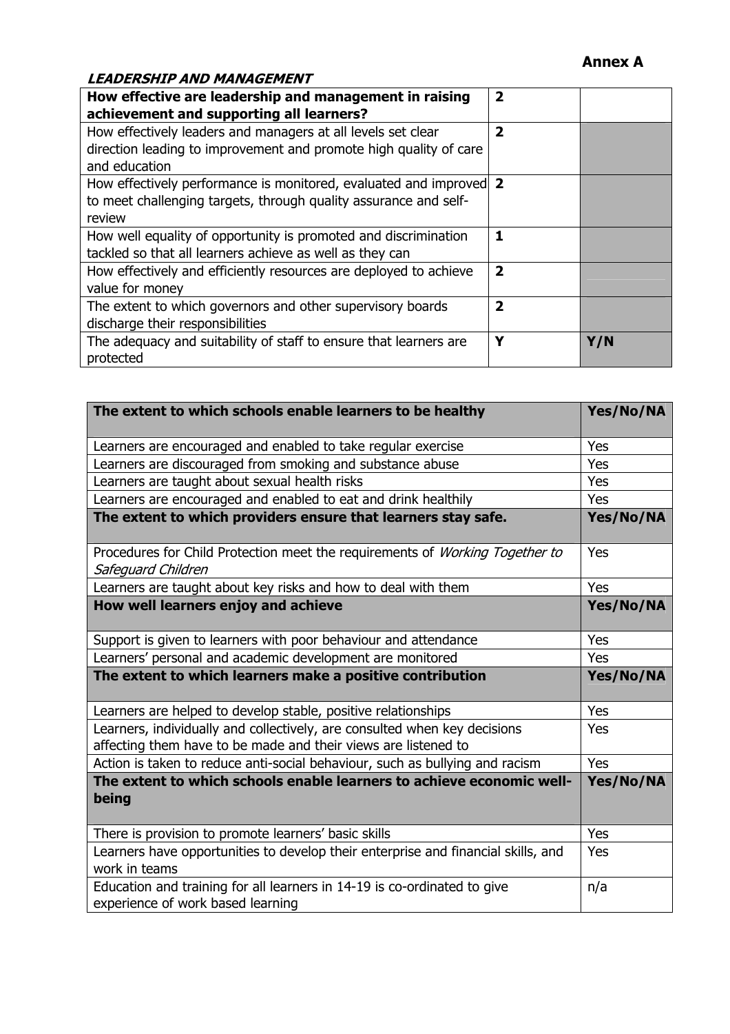# **Annex A**

# **LEADERSHIP AND MANAGEMENT**

| How effective are leadership and management in raising             | $\mathbf{2}$            |     |
|--------------------------------------------------------------------|-------------------------|-----|
| achievement and supporting all learners?                           |                         |     |
| How effectively leaders and managers at all levels set clear       | $\overline{2}$          |     |
| direction leading to improvement and promote high quality of care  |                         |     |
| and education                                                      |                         |     |
| How effectively performance is monitored, evaluated and improved 2 |                         |     |
| to meet challenging targets, through quality assurance and self-   |                         |     |
| review                                                             |                         |     |
| How well equality of opportunity is promoted and discrimination    | 1                       |     |
| tackled so that all learners achieve as well as they can           |                         |     |
| How effectively and efficiently resources are deployed to achieve  | $\overline{\mathbf{2}}$ |     |
| value for money                                                    |                         |     |
| The extent to which governors and other supervisory boards         | $\overline{\mathbf{2}}$ |     |
| discharge their responsibilities                                   |                         |     |
| The adequacy and suitability of staff to ensure that learners are  | Y                       | Y/N |
| protected                                                          |                         |     |

| The extent to which schools enable learners to be healthy                                                                                   | Yes/No/NA |
|---------------------------------------------------------------------------------------------------------------------------------------------|-----------|
| Learners are encouraged and enabled to take regular exercise                                                                                | Yes       |
| Learners are discouraged from smoking and substance abuse                                                                                   | Yes       |
| Learners are taught about sexual health risks                                                                                               | Yes       |
| Learners are encouraged and enabled to eat and drink healthily                                                                              | Yes       |
| The extent to which providers ensure that learners stay safe.                                                                               | Yes/No/NA |
| Procedures for Child Protection meet the requirements of Working Together to<br>Safeguard Children                                          | Yes       |
| Learners are taught about key risks and how to deal with them                                                                               | Yes       |
| How well learners enjoy and achieve                                                                                                         | Yes/No/NA |
| Support is given to learners with poor behaviour and attendance                                                                             | Yes       |
| Learners' personal and academic development are monitored                                                                                   | Yes       |
| The extent to which learners make a positive contribution                                                                                   | Yes/No/NA |
| Learners are helped to develop stable, positive relationships                                                                               | Yes       |
| Learners, individually and collectively, are consulted when key decisions<br>affecting them have to be made and their views are listened to | Yes       |
| Action is taken to reduce anti-social behaviour, such as bullying and racism                                                                | Yes       |
| The extent to which schools enable learners to achieve economic well-<br>being                                                              | Yes/No/NA |
| There is provision to promote learners' basic skills                                                                                        | Yes       |
| Learners have opportunities to develop their enterprise and financial skills, and<br>work in teams                                          | Yes       |
| Education and training for all learners in 14-19 is co-ordinated to give<br>experience of work based learning                               | n/a       |